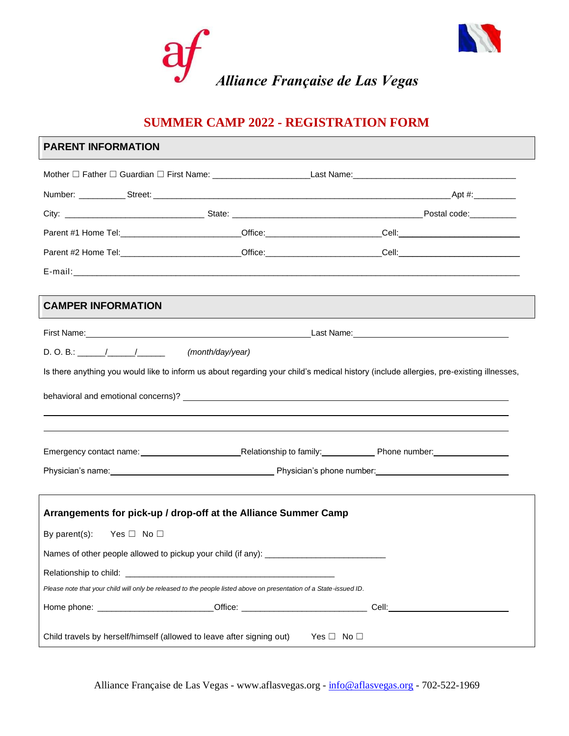

# **SUMMER CAMP 2022 - REGISTRATION FORM**

## **PARENT INFORMATION**

|                                                                                                                                                                                                                                | Mother □ Father □ Guardian □ First Name: Last Name: Last Name: Last Name:                                                                                                                                                     |
|--------------------------------------------------------------------------------------------------------------------------------------------------------------------------------------------------------------------------------|-------------------------------------------------------------------------------------------------------------------------------------------------------------------------------------------------------------------------------|
|                                                                                                                                                                                                                                |                                                                                                                                                                                                                               |
|                                                                                                                                                                                                                                |                                                                                                                                                                                                                               |
|                                                                                                                                                                                                                                | Parent #1 Home Tel: __________________________Office: ________________________Cell: __________________________                                                                                                                |
|                                                                                                                                                                                                                                | Parent #2 Home Tel: example and control of Control of Collins and Collins and Collins and Collins and Collins and Collins and Collins and Collins and Collins and Collins and Collins and Collins and Collins and Collins and |
|                                                                                                                                                                                                                                |                                                                                                                                                                                                                               |
| <b>CAMPER INFORMATION</b>                                                                                                                                                                                                      |                                                                                                                                                                                                                               |
|                                                                                                                                                                                                                                |                                                                                                                                                                                                                               |
| $D. O. B.:$ (month/day/year)                                                                                                                                                                                                   |                                                                                                                                                                                                                               |
|                                                                                                                                                                                                                                | Is there anything you would like to inform us about regarding your child's medical history (include allergies, pre-existing illnesses,                                                                                        |
| behavioral and emotional concerns)? Letter and the state of the state of the state of the state of the state of the state of the state of the state of the state of the state of the state of the state of the state of the st |                                                                                                                                                                                                                               |
|                                                                                                                                                                                                                                |                                                                                                                                                                                                                               |
|                                                                                                                                                                                                                                | Physician's name: <u>Contract Community Community of Physician's phone number:</u>                                                                                                                                            |
| Arrangements for pick-up / drop-off at the Alliance Summer Camp                                                                                                                                                                |                                                                                                                                                                                                                               |
| By parent(s): Yes $\Box$ No $\Box$                                                                                                                                                                                             |                                                                                                                                                                                                                               |
| Names of other people allowed to pickup your child (if any): ____________________                                                                                                                                              |                                                                                                                                                                                                                               |
|                                                                                                                                                                                                                                |                                                                                                                                                                                                                               |
| Please note that your child will only be released to the people listed above on presentation of a State-issued ID.                                                                                                             |                                                                                                                                                                                                                               |
| Home phone: Call Contract Contract Contract Contract Contract Contract Contract Contract Contract Contract Contract Contract Contract Contract Contract Contract Contract Contract Contract Contract Contract Contract Contrac |                                                                                                                                                                                                                               |
| Child travels by herself/himself (allowed to leave after signing out) Yes $\Box$ No $\Box$                                                                                                                                     |                                                                                                                                                                                                                               |

Alliance Française de Las Vegas - www.aflasvegas.org - [info@aflasvegas.org](mailto:info@aflasvegas.org) - 702-522-1969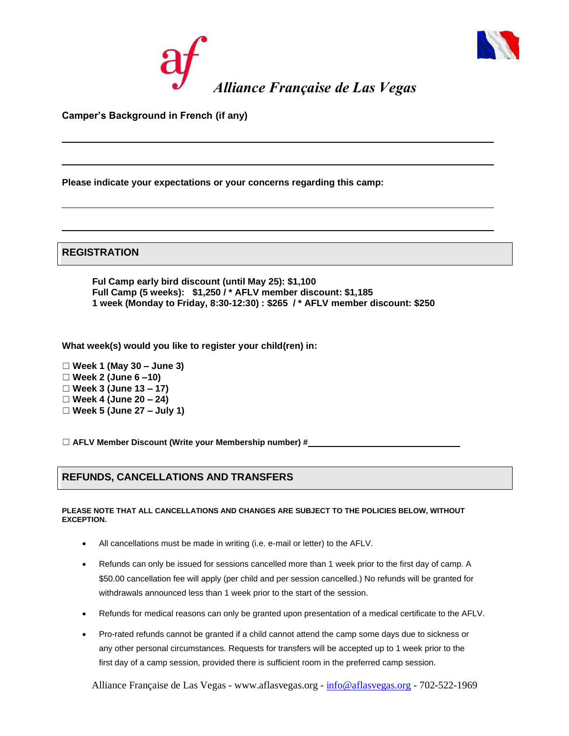



**Camper's Background in French (if any)**

**Please indicate your expectations or your concerns regarding this camp:**

**REGISTRATION**

**Ful Camp early bird discount (until May 25): \$1,100 Full Camp (5 weeks): \$1,250 / \* AFLV member discount: \$1,185 1 week (Monday to Friday, 8:30-12:30) : \$265 / \* AFLV member discount: \$250**

**What week(s) would you like to register your child(ren) in:** 

- ☐ **Week 1 (May 30 – June 3)**
- ☐ **Week 2 (June 6 –10)**
- ☐ **Week 3 (June 13 – 17)**
- ☐ **Week 4 (June 20 – 24)**
- ☐ **Week 5 (June 27 – July 1)**

☐ **AFLV Member Discount (Write your Membership number) #**

## **REFUNDS, CANCELLATIONS AND TRANSFERS**

#### **PLEASE NOTE THAT ALL CANCELLATIONS AND CHANGES ARE SUBJECT TO THE POLICIES BELOW, WITHOUT EXCEPTION.**

- All cancellations must be made in writing (i.e. e-mail or letter) to the AFLV.
- Refunds can only be issued for sessions cancelled more than 1 week prior to the first day of camp. A \$50.00 cancellation fee will apply (per child and per session cancelled.) No refunds will be granted for withdrawals announced less than 1 week prior to the start of the session.
- Refunds for medical reasons can only be granted upon presentation of a medical certificate to the AFLV.
- Pro-rated refunds cannot be granted if a child cannot attend the camp some days due to sickness or any other personal circumstances. Requests for transfers will be accepted up to 1 week prior to the first day of a camp session, provided there is sufficient room in the preferred camp session.

Alliance Française de Las Vegas - www.aflasvegas.org - [info@aflasvegas.org](mailto:info@aflasvegas.org) - 702-522-1969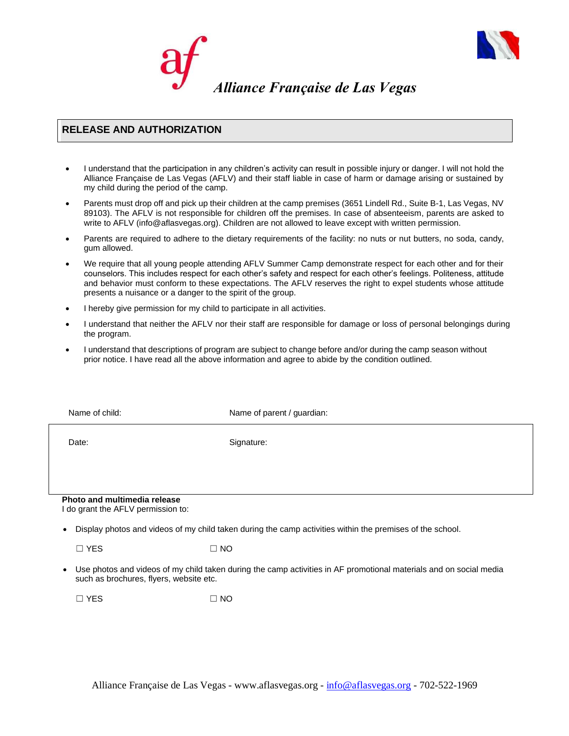

### **RELEASE AND AUTHORIZATION**

- I understand that the participation in any children's activity can result in possible injury or danger. I will not hold the Alliance Française de Las Vegas (AFLV) and their staff liable in case of harm or damage arising or sustained by my child during the period of the camp.
- Parents must drop off and pick up their children at the camp premises (3651 Lindell Rd., Suite B-1, Las Vegas, NV 89103). The AFLV is not responsible for children off the premises. In case of absenteeism, parents are asked to write to AFLV (info@aflasvegas.org). Children are not allowed to leave except with written permission.
- Parents are required to adhere to the dietary requirements of the facility: no nuts or nut butters, no soda, candy, gum allowed.
- We require that all young people attending AFLV Summer Camp demonstrate respect for each other and for their counselors. This includes respect for each other's safety and respect for each other's feelings. Politeness, attitude and behavior must conform to these expectations. The AFLV reserves the right to expel students whose attitude presents a nuisance or a danger to the spirit of the group.
- I hereby give permission for my child to participate in all activities.
- I understand that neither the AFLV nor their staff are responsible for damage or loss of personal belongings during the program.
- I understand that descriptions of program are subject to change before and/or during the camp season without prior notice. I have read all the above information and agree to abide by the condition outlined.

| Name of child:                                                     |            | Name of parent / guardian:                                                                                |
|--------------------------------------------------------------------|------------|-----------------------------------------------------------------------------------------------------------|
| Date:                                                              | Signature: |                                                                                                           |
|                                                                    |            |                                                                                                           |
| Photo and multimedia release<br>I do grant the AFLV permission to: |            |                                                                                                           |
| $\bullet$                                                          |            | Display photos and videos of my child taken during the camp activities within the premises of the school. |
| $\Box$ YES                                                         | $\Box$ NO  |                                                                                                           |

• Use photos and videos of my child taken during the camp activities in AF promotional materials and on social media such as brochures, flyers, website etc.

 $\square$  YES  $\square$  NO

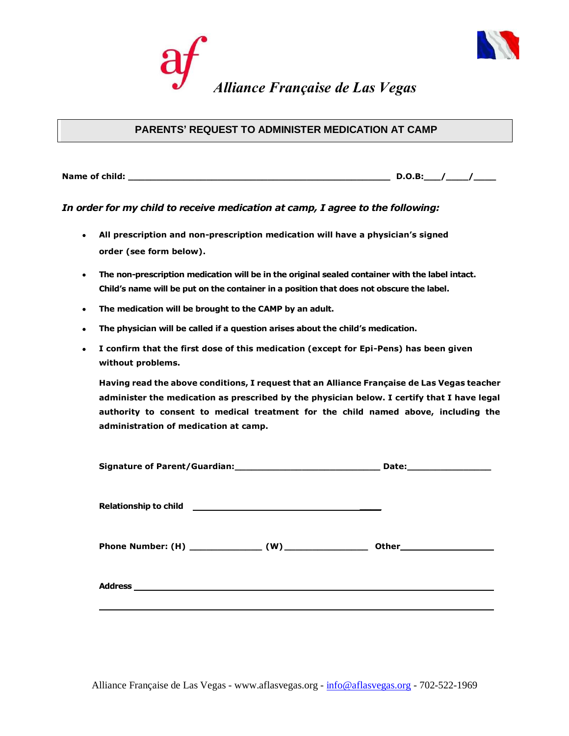



**Name of child: \_\_\_\_\_\_\_\_\_\_\_\_\_\_\_\_\_\_\_\_\_\_\_\_\_\_\_\_\_\_\_\_\_\_\_\_\_\_\_\_\_\_\_\_\_\_\_ D.O.B:\_\_\_/\_\_\_\_/\_\_\_\_**

#### *In order for my child to receive medication at camp, I agree to the following:*

- **All prescription and non-prescription medication will have a physician's signed order (see form below).**
- **The non-prescription medication will be in the original sealed container with the label intact. Child's name will be put on the container in a position that does not obscure the label.**
- **The medication will be brought to the CAMP by an adult.**
- **The physician will be called if a question arises about the child's medication.**
- **I confirm that the first dose of this medication (except for Epi-Pens) has been given without problems.**

**Having read the above conditions, I request that an Alliance Française de Las Vegas teacher administer the medication as prescribed by the physician below. I certify that I have legal authority to consent to medical treatment for the child named above, including the administration of medication at camp.**

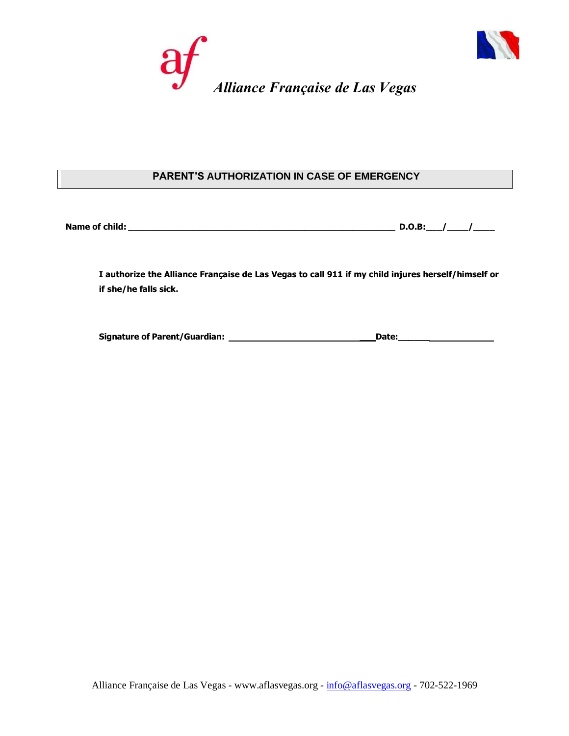



## **PARENT'S AUTHORIZATION IN CASE OF EMERGENCY**

| Name of child: |  |  |
|----------------|--|--|
|                |  |  |

**I authorize the Alliance Française de Las Vegas to call 911 if my child injures herself/himself or if she/he falls sick.**

**Signature of Parent/Guardian: \_\_\_Date:\_\_\_\_\_\_**